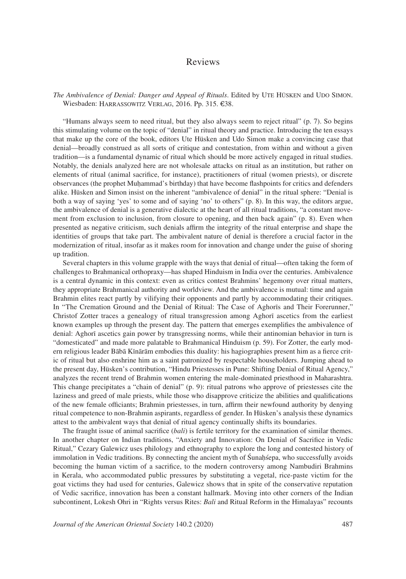## Reviews

## *The Ambivalence of Denial: Danger and Appeal of Rituals*. Edited by Ute Hüsken and Udo Simon. Wiesbaden: Harrassowitz Verlag, 2016. Pp. 315. €38.

"Humans always seem to need ritual, but they also always seem to reject ritual" (p. 7). So begins this stimulating volume on the topic of "denial" in ritual theory and practice. Introducing the ten essays that make up the core of the book, editors Ute Hüsken and Udo Simon make a convincing case that denial—broadly construed as all sorts of critique and contestation, from within and without a given tradition—is a fundamental dynamic of ritual which should be more actively engaged in ritual studies. Notably, the denials analyzed here are not wholesale attacks on ritual as an institution, but rather on elements of ritual (animal sacrifice, for instance), practitioners of ritual (women priests), or discrete observances (the prophet Muḥammad's birthday) that have become flashpoints for critics and defenders alike. Hüsken and Simon insist on the inherent "ambivalence of denial" in the ritual sphere: "Denial is both a way of saying 'yes' to some and of saying 'no' to others" (p. 8). In this way, the editors argue, the ambivalence of denial is a generative dialectic at the heart of all ritual traditions, "a constant movement from exclusion to inclusion, from closure to opening, and then back again" (p. 8). Even when presented as negative criticism, such denials affirm the integrity of the ritual enterprise and shape the identities of groups that take part. The ambivalent nature of denial is therefore a crucial factor in the modernization of ritual, insofar as it makes room for innovation and change under the guise of shoring up tradition.

Several chapters in this volume grapple with the ways that denial of ritual—often taking the form of challenges to Brahmanical orthopraxy—has shaped Hinduism in India over the centuries. Ambivalence is a central dynamic in this context: even as critics contest Brahmins' hegemony over ritual matters, they appropriate Brahmanical authority and worldview. And the ambivalence is mutual: time and again Brahmin elites react partly by vilifying their opponents and partly by accommodating their critiques. In "The Cremation Ground and the Denial of Ritual: The Case of Aghorīs and Their Forerunner," Christof Zotter traces a genealogy of ritual transgression among Aghorī ascetics from the earliest known examples up through the present day. The pattern that emerges exemplifies the ambivalence of denial: Aghorī ascetics gain power by transgressing norms, while their antinomian behavior in turn is "domesticated" and made more palatable to Brahmanical Hinduism (p. 59). For Zotter, the early modern religious leader Bābā Kīnārām embodies this duality: his hagiographies present him as a fierce critic of ritual but also enshrine him as a saint patronized by respectable householders. Jumping ahead to the present day, Hüsken's contribution, "Hindu Priestesses in Pune: Shifting Denial of Ritual Agency," analyzes the recent trend of Brahmin women entering the male-dominated priesthood in Maharashtra. This change precipitates a "chain of denial" (p. 9): ritual patrons who approve of priestesses cite the laziness and greed of male priests, while those who disapprove criticize the abilities and qualifications of the new female officiants; Brahmin priestesses, in turn, affirm their newfound authority by denying ritual competence to non-Brahmin aspirants, regardless of gender. In Hüsken's analysis these dynamics attest to the ambivalent ways that denial of ritual agency continually shifts its boundaries.

The fraught issue of animal sacrifice (*bali*) is fertile territory for the examination of similar themes. In another chapter on Indian traditions, "Anxiety and Innovation: On Denial of Sacrifice in Vedic Ritual," Cezary Galewicz uses philology and ethnography to explore the long and contested history of immolation in Vedic traditions. By connecting the ancient myth of Śunaḥśepa, who successfully avoids becoming the human victim of a sacrifice, to the modern controversy among Nambudiri Brahmins in Kerala, who accommodated public pressures by substituting a vegetal, rice-paste victim for the goat victims they had used for centuries, Galewicz shows that in spite of the conservative reputation of Vedic sacrifice, innovation has been a constant hallmark. Moving into other corners of the Indian subcontinent, Lokesh Ohri in "Rights versus Rites: *Bali* and Ritual Reform in the Himalayas" recounts